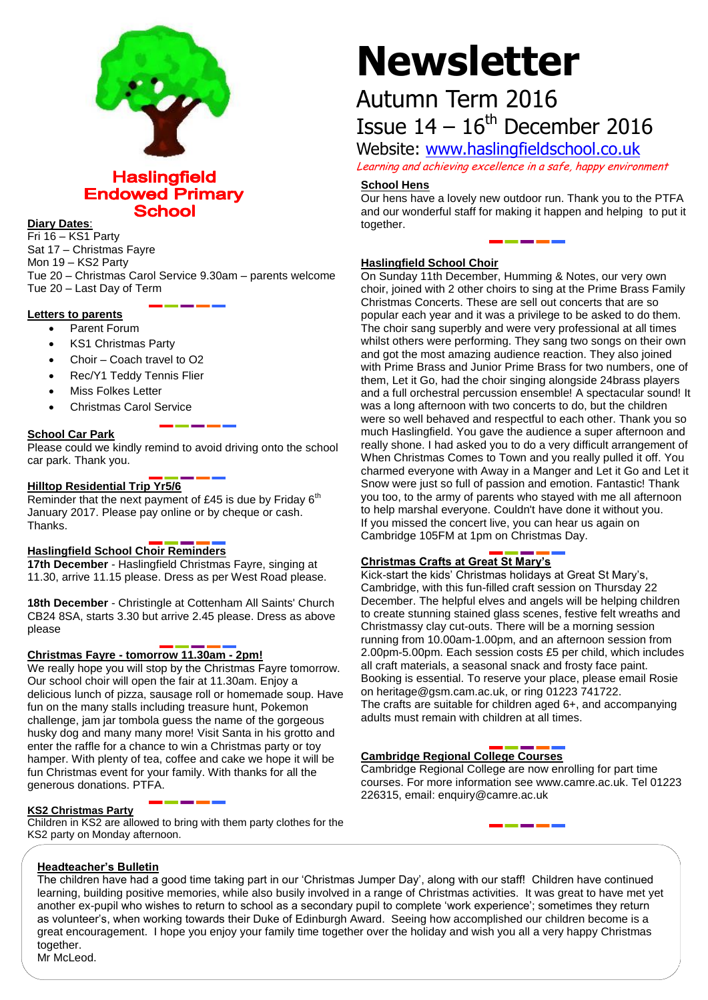

# **Haslingfield Endowed Primary School**

#### **Diary Dates**:

Fri 16 – KS1 Party Sat 17 – Christmas Fayre Mon 19 – KS2 Party Tue 20 – Christmas Carol Service 9.30am – parents welcome Tue 20 – Last Day of Term

# **Letters to parents**

- Parent Forum
- KS1 Christmas Party
- Choir Coach travel to O2
- Rec/Y1 Teddy Tennis Flier
- Miss Folkes Letter
- Christmas Carol Service

# **School Car Park**

Please could we kindly remind to avoid driving onto the school car park. Thank you.

# **Hilltop Residential Trip Yr5/6**

Reminder that the next payment of £45 is due by Friday  $6<sup>th</sup>$ January 2017. Please pay online or by cheque or cash. Thanks.

# **Haslingfield School Choir Reminders**

**17th December** - Haslingfield Christmas Fayre, singing at 11.30, arrive 11.15 please. Dress as per West Road please.

**18th December** - Christingle at Cottenham All Saints' Church CB24 8SA, starts 3.30 but arrive 2.45 please. Dress as above please

# **Christmas Fayre - tomorrow 11.30am - 2pm!**

We really hope you will stop by the Christmas Fayre tomorrow. Our school choir will open the fair at 11.30am. Enjoy a delicious lunch of pizza, sausage roll or homemade soup. Have fun on the many stalls including treasure hunt, Pokemon challenge, jam jar tombola guess the name of the gorgeous husky dog and many many more! Visit Santa in his grotto and enter the raffle for a chance to win a Christmas party or toy hamper. With plenty of tea, coffee and cake we hope it will be fun Christmas event for your family. With thanks for all the generous donations. PTFA.

# **KS2 Christmas Party**

Children in KS2 are allowed to bring with them party clothes for the KS2 party on Monday afternoon.

# **Newsletter**

# Autumn Term 2016 Issue  $14 - 16$ <sup>th</sup> December 2016

Website: [www.haslingfieldschool.co.uk](http://www.haslingfieldschool.co.uk/)

Learning and achieving excellence in a safe, happy environment

# **School Hens**

Our hens have a lovely new outdoor run. Thank you to the PTFA and our wonderful staff for making it happen and helping to put it together.

# **Haslingfield School Choir**

On Sunday 11th December, Humming & Notes, our very own choir, joined with 2 other choirs to sing at the Prime Brass Family Christmas Concerts. These are sell out concerts that are so popular each year and it was a privilege to be asked to do them. The choir sang superbly and were very professional at all times whilst others were performing. They sang two songs on their own and got the most amazing audience reaction. They also joined with Prime Brass and Junior Prime Brass for two numbers, one of them, Let it Go, had the choir singing alongside 24brass players and a full orchestral percussion ensemble! A spectacular sound! It was a long afternoon with two concerts to do, but the children were so well behaved and respectful to each other. Thank you so much Haslingfield. You gave the audience a super afternoon and really shone. I had asked you to do a very difficult arrangement of When Christmas Comes to Town and you really pulled it off. You charmed everyone with Away in a Manger and Let it Go and Let it Snow were just so full of passion and emotion. Fantastic! Thank you too, to the army of parents who stayed with me all afternoon to help marshal everyone. Couldn't have done it without you. If you missed the concert live, you can hear us again on Cambridge 105FM at 1pm on Christmas Day.

# **Christmas Crafts at Great St Mary's**

Kick-start the kids' Christmas holidays at Great St Mary's, Cambridge, with this fun-filled craft session on Thursday 22 December. The helpful elves and angels will be helping children to create stunning stained glass scenes, festive felt wreaths and Christmassy clay cut-outs. There will be a morning session running from 10.00am-1.00pm, and an afternoon session from 2.00pm-5.00pm. Each session costs £5 per child, which includes all craft materials, a seasonal snack and frosty face paint. Booking is essential. To reserve your place, please email Rosie on heritage@gsm.cam.ac.uk, or ring 01223 741722. The crafts are suitable for children aged 6+, and accompanying adults must remain with children at all times.

# **Cambridge Regional College Courses**

Cambridge Regional College are now enrolling for part time courses. For more information see www.camre.ac.uk. Tel 01223 226315, email: enquiry@camre.ac.uk

# **Headteacher's Bulletin**

The children have had a good time taking part in our 'Christmas Jumper Day', along with our staff! Children have continued learning, building positive memories, while also busily involved in a range of Christmas activities. It was great to have met yet another ex-pupil who wishes to return to school as a secondary pupil to complete 'work experience'; sometimes they return as volunteer's, when working towards their Duke of Edinburgh Award. Seeing how accomplished our children become is a great encouragement. I hope you enjoy your family time together over the holiday and wish you all a very happy Christmas together.

Mr McLeod.